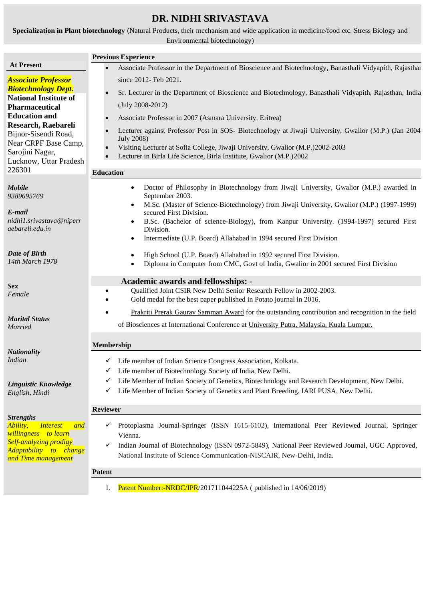# **DR. NIDHI SRIVASTAVA**

**Specialization in Plant biotechnology** (Natural Products, their mechanism and wide application in medicine/food etc. Stress Biology and Environmental biotechnology)

|                                                                                                                  | <b>Previous Experience</b>                                                                                                                                                                                                                                                         |
|------------------------------------------------------------------------------------------------------------------|------------------------------------------------------------------------------------------------------------------------------------------------------------------------------------------------------------------------------------------------------------------------------------|
| <b>At Present</b>                                                                                                | Associate Professor in the Department of Bioscience and Biotechnology, Banasthali Vidyapith, Rajasthar                                                                                                                                                                             |
| <b>Associate Professor</b>                                                                                       | since 2012- Feb 2021.                                                                                                                                                                                                                                                              |
| <b>Biotechnology Dept.</b><br><b>National Institute of</b>                                                       | Sr. Lecturer in the Department of Bioscience and Biotechnology, Banasthali Vidyapith, Rajasthan, India                                                                                                                                                                             |
| <b>Pharmaceutical</b>                                                                                            | $(July 2008-2012)$                                                                                                                                                                                                                                                                 |
| <b>Education and</b>                                                                                             | Associate Professor in 2007 (Asmara University, Eritrea)                                                                                                                                                                                                                           |
| Research, Raebareli<br>Bijnor-Sisendi Road,<br>Near CRPF Base Camp,<br>Sarojini Nagar,<br>Lucknow, Uttar Pradesh | Lecturer against Professor Post in SOS- Biotechnology at Jiwaji University, Gwalior (M.P.) (Jan 2004<br><b>July 2008)</b><br>Visiting Lecturer at Sofia College, Jiwaji University, Gwalior (M.P.)2002-2003<br>Lecturer in Birla Life Science, Birla Institute, Gwalior (M.P.)2002 |
| 226301                                                                                                           | <b>Education</b>                                                                                                                                                                                                                                                                   |
| <b>Mobile</b><br>9389695769                                                                                      | Doctor of Philosophy in Biotechnology from Jiwaji University, Gwalior (M.P.) awarded in<br>$\bullet$<br>September 2003.                                                                                                                                                            |
| E-mail                                                                                                           | M.Sc. (Master of Science-Biotechnology) from Jiwaji University, Gwalior (M.P.) (1997-1999)<br>$\bullet$<br>secured First Division.                                                                                                                                                 |
| nidhi1.srivastava@niperr<br>aebareli.edu.in                                                                      | B.Sc. (Bachelor of science-Biology), from Kanpur University. (1994-1997) secured First<br>$\bullet$<br>Division.                                                                                                                                                                   |
|                                                                                                                  | Intermediate (U.P. Board) Allahabad in 1994 secured First Division<br>$\bullet$                                                                                                                                                                                                    |
| Date of Birth<br>14th March 1978                                                                                 | High School (U.P. Board) Allahabad in 1992 secured First Division.<br>$\bullet$<br>Diploma in Computer from CMC, Govt of India, Gwalior in 2001 secured First Division<br>$\bullet$                                                                                                |
|                                                                                                                  | <b>Academic awards and fellowships: -</b>                                                                                                                                                                                                                                          |
| <b>Sex</b><br>Female                                                                                             | Qualified Joint CSIR New Delhi Senior Research Fellow in 2002-2003.<br>Gold medal for the best paper published in Potato journal in 2016.                                                                                                                                          |
| <b>Marital Status</b>                                                                                            | Prakriti Prerak Gaurav Samman Award for the outstanding contribution and recognition in the field                                                                                                                                                                                  |
| <b>Married</b>                                                                                                   | of Biosciences at International Conference at University Putra, Malaysia, Kuala Lumpur.                                                                                                                                                                                            |
| <b>Nationality</b>                                                                                               | Membership                                                                                                                                                                                                                                                                         |
| <i>Indian</i>                                                                                                    | ✓ Life member of Indian Science Congress Association, Kolkata.                                                                                                                                                                                                                     |
|                                                                                                                  | Life member of Biotechnology Society of India, New Delhi.<br>✓                                                                                                                                                                                                                     |
| Linguistic Knowledge<br>English, Hindi                                                                           | Life Member of Indian Society of Genetics, Biotechnology and Research Development, New Delhi.<br>✓<br>Life Member of Indian Society of Genetics and Plant Breeding, IARI PUSA, New Delhi.<br>✓                                                                                     |
|                                                                                                                  | <b>Reviewer</b>                                                                                                                                                                                                                                                                    |
| <b>Strengths</b><br>Ability,<br><i>Interest</i><br>and<br><i>willingness</i> to learn<br>Self-analyzing prodigy  | Protoplasma Journal-Springer (ISSN 1615-6102), International Peer Reviewed Journal, Springer<br>✓<br>Vienna.                                                                                                                                                                       |
| Adaptability to change<br>and Time management                                                                    | Indian Journal of Biotechnology (ISSN 0972-5849), National Peer Reviewed Journal, UGC Approved,<br>✓<br>National Institute of Science Communication-NISCAIR, New-Delhi, India.                                                                                                     |
|                                                                                                                  | <b>Patent</b>                                                                                                                                                                                                                                                                      |
|                                                                                                                  | Patent Number:-NRDC/IPR/201711044225A ( published in 14/06/2019)<br>1.                                                                                                                                                                                                             |
|                                                                                                                  |                                                                                                                                                                                                                                                                                    |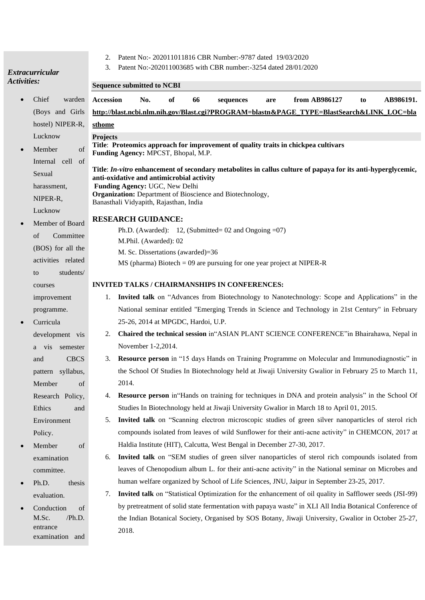## *Extracurricular Activities:*

- $\bullet$  Chief wa (Boys and hostel) NIPE Lucknow
- $\bullet$  Member Internal cell Sexual harassment, NIPER-R, Lucknow
- Member of B of Comm  $(BOS)$  for all activities re to stud courses improvement programme.
- Curricula development a vis sem and C pattern sylla Member Research Po Ethics Environment Policy.
- **Member** examination committee.
- $\bullet$  Ph.D. thesis evaluation.
- Conduction  $M.Sc.$  /F entrance examination
- 2. Patent No:- 202011011816 CBR Number:-9787 dated 19/03/2020
- 3. Patent No:-202011003685 with CBR number:-3254 dated 28/01/2020

| <b>Sequence submitted to NCBI</b>                                                                                                                                                                                                                                                                                        |  |
|--------------------------------------------------------------------------------------------------------------------------------------------------------------------------------------------------------------------------------------------------------------------------------------------------------------------------|--|
| <b>Accession</b><br>No.<br>of<br>66<br>from AB986127<br>AB986191.<br>sequences<br>are<br>to                                                                                                                                                                                                                              |  |
| http://blast.ncbi.nlm.nih.gov/Blast.cgi?PROGRAM=blastn&PAGE_TYPE=BlastSearch&LINK_LOC=bla                                                                                                                                                                                                                                |  |
| sthome                                                                                                                                                                                                                                                                                                                   |  |
| <b>Projects</b><br>Title: Proteomics approach for improvement of quality traits in chickpea cultivars<br>of<br>Funding Agency: MPCST, Bhopal, M.P.                                                                                                                                                                       |  |
| $\mathbf{1}$<br>of<br>Title: In-vitro enhancement of secondary metabolites in callus culture of papaya for its anti-hyperglycemic,<br>anti-oxidative and antimicrobial activity<br>Funding Agency: UGC, New Delhi<br>Organization: Department of Bioscience and Biotechnology,<br>Banasthali Vidyapith, Rajasthan, India |  |
| <b>RESEARCH GUIDANCE:</b>                                                                                                                                                                                                                                                                                                |  |
| Ph.D. (Awarded): 12, (Submitted= $02$ and Ongoing = 07)                                                                                                                                                                                                                                                                  |  |
| M.Phil. (Awarded): 02                                                                                                                                                                                                                                                                                                    |  |
| M. Sc. Dissertations (awarded)=36                                                                                                                                                                                                                                                                                        |  |
| $MS$ (pharma) Biotech = 09 are pursuing for one year project at NIPER-R                                                                                                                                                                                                                                                  |  |
| <b>INVITED TALKS / CHAIRMANSHIPS IN CONFERENCES:</b>                                                                                                                                                                                                                                                                     |  |
| Invited talk on "Advances from Biotechnology to Nanotechnology: Scope and Applications" in the<br>1.                                                                                                                                                                                                                     |  |
| National seminar entitled "Emerging Trends in Science and Technology in 21st Century" in February                                                                                                                                                                                                                        |  |
| 25-26, 2014 at MPGDC, Hardoi, U.P.                                                                                                                                                                                                                                                                                       |  |
| Chaired the technical session in "ASIAN PLANT SCIENCE CONFERENCE" in Bhairahawa, Nepal in<br>2.                                                                                                                                                                                                                          |  |
| November 1-2,2014.                                                                                                                                                                                                                                                                                                       |  |
| Resource person in "15 days Hands on Training Programme on Molecular and Immunodiagnostic" in<br>3.                                                                                                                                                                                                                      |  |
| the School Of Studies In Biotechnology held at Jiwaji University Gwalior in February 25 to March 11,                                                                                                                                                                                                                     |  |
| 2014.                                                                                                                                                                                                                                                                                                                    |  |
| <b>Resource person</b> in "Hands on training for techniques in DNA and protein analysis" in the School Of<br>4.                                                                                                                                                                                                          |  |
| Studies In Biotechnology held at Jiwaji University Gwalior in March 18 to April 01, 2015.                                                                                                                                                                                                                                |  |
| Invited talk on "Scanning electron microscopic studies of green silver nanoparticles of sterol rich<br>5.                                                                                                                                                                                                                |  |
| compounds isolated from leaves of wild Sunflower for their anti-acne activity" in CHEMCON, 2017 at                                                                                                                                                                                                                       |  |
| Haldia Institute (HIT), Calcutta, West Bengal in December 27-30, 2017.                                                                                                                                                                                                                                                   |  |
| Invited talk on "SEM studies of green silver nanoparticles of sterol rich compounds isolated from<br>6.                                                                                                                                                                                                                  |  |
| leaves of Chenopodium album L. for their anti-acne activity" in the National seminar on Microbes and                                                                                                                                                                                                                     |  |
| human welfare organized by School of Life Sciences, JNU, Jaipur in September 23-25, 2017.                                                                                                                                                                                                                                |  |
| Invited talk on "Statistical Optimization for the enhancement of oil quality in Safflower seeds (JSI-99)<br>7.                                                                                                                                                                                                           |  |
| by pretreatment of solid state fermentation with papaya waste" in XLI All India Botanical Conference of                                                                                                                                                                                                                  |  |
| the Indian Botanical Society, Organised by SOS Botany, Jiwaji University, Gwalior in October 25-27,                                                                                                                                                                                                                      |  |
| 2018.                                                                                                                                                                                                                                                                                                                    |  |
|                                                                                                                                                                                                                                                                                                                          |  |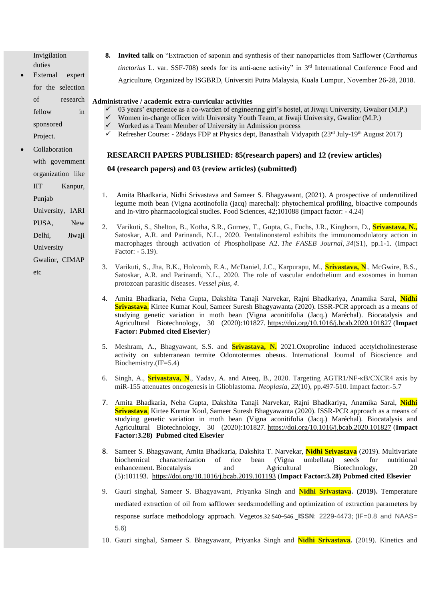Invigilation duties

External expert for the selection of research fellow in sponsored Project.

**Collaboration** with government organization like IIT Kanpur, Punjab University, IARI

PUSA, New

Delhi, Jiwaji

University

Gwalior, CIMAP

etc

**8. Invited talk** on "Extraction of saponin and synthesis of their nanoparticles from Safflower (*Carthamus tinctorius* L. var. SSF-708) seeds for its anti-acne activity" in 3<sup>rd</sup> International Conference Food and Agriculture, Organized by ISGBRD, Universiti Putra Malaysia, Kuala Lumpur, November 26-28, 2018.

#### **Administrative / academic extra-curricular activities**

- ✓ 03 years' experience as a co-warden of engineering girl's hostel, at Jiwaji University, Gwalior (M.P.)
- Women in-charge officer with University Youth Team, at Jiwaji University, Gwalior (M.P.)
- $\checkmark$  Worked as a Team Member of University in Admission process
- Refresher Course: 28days FDP at Physics dept, Banasthali Vidyapith (23rd July-19th August 2017)

## **RESEARCH PAPERS PUBLISHED: 85(research papers) and 12 (review articles)**

## **04 (research papers) and 03 (review articles) (submitted)**

- 1. Amita Bhadkaria, Nidhi Srivastava and Sameer S. Bhagyawant, (2021). A prospective of underutilized legume moth bean (Vigna acotinofolia (jacq) marechal): phytochemical profiling, bioactive compounds and In-vitro pharmacological studies. Food Sciences, 42;101088 (impact factor: - 4.24)
- 2. Varikuti, S., Shelton, B., Kotha, S.R., Gurney, T., Gupta, G., Fuchs, J.R., Kinghorn, D., **Srivastava, N.,** Satoskar, A.R. and Parinandi, N.L., 2020. Pentalinonsterol exhibits the immunomodulatory action in macrophages through activation of Phospholipase A2. *The FASEB Journal*, *34*(S1), pp.1-1. (Impact Factor: - 5.19).
- 3. Varikuti, S., Jha, B.K., Holcomb, E.A., McDaniel, J.C., Karpurapu, M., **Srivastava, N**., McGwire, B.S., Satoskar, A.R. and Parinandi, N.L., 2020. The role of vascular endothelium and exosomes in human protozoan parasitic diseases. *Vessel plus*, *4*.
- 4. Amita Bhadkaria, Neha Gupta, Dakshita Tanaji Narvekar, Rajni Bhadkariya, Anamika Saral, **Nidhi Srivastava**, Kirtee Kumar Koul, Sameer Suresh Bhagyawanta (2020). ISSR-PCR approach as a means of studying genetic variation in moth bean (Vigna aconitifolia (Jacq.) Maréchal). Biocatalysis and Agricultural Biotechnology, 30 (2020):101827. <https://doi.org/10.1016/j.bcab.2020.101827> (**Impact Factor: Pubmed cited Elsevier**)
- 5. Meshram, A., Bhagyawant, S.S. and **Srivastava, N.** 2021.Oxoproline induced acetylcholinesterase activity on subterranean termite Odontotermes obesus. International Journal of Bioscience and Biochemistry.(IF=5.4)
- 6. Singh, A., **Srivastava, N**., Yadav, A. and Ateeq, B., 2020. Targeting AGTR1/NF-κB/CXCR4 axis by miR-155 attenuates oncogenesis in Glioblastoma. *Neoplasia*, *22*(10), pp.497-510. Impact factor:-5.7
- 7. Amita Bhadkaria, Neha Gupta, Dakshita Tanaji Narvekar, Rajni Bhadkariya, Anamika Saral, **Nidhi Srivastava**, Kirtee Kumar Koul, Sameer Suresh Bhagyawanta (2020). ISSR-PCR approach as a means of studying genetic variation in moth bean (Vigna aconitifolia (Jacq.) Maréchal). Biocatalysis and Agricultural Biotechnology, 30 (2020):101827. <https://doi.org/10.1016/j.bcab.2020.101827> (**Impact Factor:3.28) Pubmed cited Elsevier**
- 8. Sameer S. Bhagyawant, Amita Bhadkaria, Dakshita T. Narvekar, **Nidhi Srivastava** (2019). Multivariate biochemical characterization of rice bean (Vigna umbellata) seeds for nutritional enhancement. Biocatalysis and Agricultural Biotechnology, 20 (5):101193. <https://doi.org/10.1016/j.bcab.2019.101193> (**Impact Factor:3.28) Pubmed cited Elsevier**
- 9. Gauri singhal, Sameer S. Bhagyawant, Priyanka Singh and **Nidhi Srivastava. (2019).** Temperature mediated extraction of oil from safflower seeds:modelling and optimization of extraction parameters by response surface methodology approach. Vegetos.32:540–546. **ISSN**: 2229-4473; (IF=0.8 and NAAS= 5.6)
- 10. Gauri singhal, Sameer S. Bhagyawant, Priyanka Singh and **Nidhi Srivastava.** (2019). Kinetics and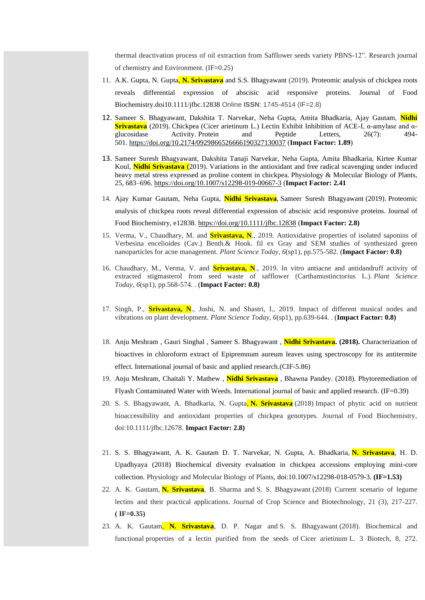thermal deactivation process of oil extraction from Safflower seeds variety PBNS-12". Research journal of chemistry and Environment. (IF=0.25)

- 11. A.K. Gupta, N. Gupta, **N. Srivastava** and S.S. Bhagyawant (2019). Proteomic analysis of chickpea roots reveals differential expression of abscisic acid responsive proteins. Journal of Food Biochemistry.doi10.1111/jfbc.12838 Online **ISSN**: 1745-4514 (IF=2.8)
- 12. Sameer S. Bhagyawant, Dakshita T. Narvekar, Neha Gupta, Amita Bhadkaria, Ajay Gautam, **Nidhi Srivastava** (2019). Chickpea (Cicer arietinum L.) Lectin Exhibit Inhibition of ACE-I, α-amylase and αglucosidase Activity. Protein and Peptide Letters, 26(7): 494- 501. <https://doi.org/10.2174/0929866526666190327130037> (**Impact Factor: 1.89**)
- 13. Sameer Suresh Bhagyawant, Dakshita Tanaji Narvekar, Neha Gupta, Amita Bhadkaria, Kirtee Kumar Koul, **Nidhi Srivastava** (2019). Variations in the antioxidant and free radical scavenging under induced heavy metal stress expressed as proline content in chickpea. Physiology & Molecular Biology of Plants, 25, 683–696. <https://doi.org/10.1007/s12298-019-00667-3> (**Impact Factor: 2.41**
- 14. Ajay Kumar Gautam, Neha Gupta, **Nidhi Srivastava**, Sameer Suresh Bhagyawant (2019). Proteomic analysis of chickpea roots reveal differential expression of abscisic acid responsive proteins. Journal of Food Biochemistry, e12838. <https://doi.org/10.1111/jfbc.12838> (**Impact Factor: 2.8)**
- 15. Verma, V., Chaudhary, M. and **Srivastava, N**., 2019. Antioxidative properties of isolated saponins of Verbesina encelioides (Cav.) Benth.& Hook. fil ex Gray and SEM studies of synthesized green nanoparticles for acne management. *Plant Science Today*, *6*(sp1), pp.575-582. (**Impact Factor: 0.8)**
- 16. Chaudhary, M., Verma, V. and **Srivastava, N**., 2019. In vitro antiacne and antidandruff activity of extracted stigmasterol from seed waste of safflower (Carthamustinctorius L.). *Plant Science Today*, *6*(sp1), pp.568-574. . (**Impact Factor: 0.8)**
- 17. Singh, P., **Srivastava, N**., Joshi, N. and Shastri, I., 2019. Impact of different musical nodes and vibrations on plant development. *Plant Science Today*, *6*(sp1), pp.639-644. . (**Impact Factor: 0.8)**
- 18. Anju Meshram , Gauri Singhal , Sameer S. Bhagyawant , **Nidhi Srivastava. (2018).** Characterization of bioactives in chloroform extract of Epipremnum aureum leaves using spectroscopy for its antitermite effect. International journal of basic and applied research.(CIF-5.86)
- 19. Anju Meshram, Chaitali Y. Mathew , **Nidhi Srivastava** , Bhawna Pandey. (2018). Phytoremediation of Flyash Contaminated Water with Weeds. International journal of basic and applied research. (IF=0.39)
- 20. S. S. Bhagyawant, A. Bhadkaria, N. Gupta, **N. Srivastava** (2018) Impact of phytic acid on nutrient bioaccessibility and antioxidant properties of chickpea genotypes. Journal of Food Biochemistry, doi:10.1111/jfbc.12678. **Impact Factor: 2.8)**
- 21. S. S. Bhagyawant, A. K. Gautam D. T. Narvekar, N. Gupta, A. Bhadkaria, **N. Srivastava**, H. D. Upadhyaya (2018) Biochemical diversity evaluation in chickpea accessions employing mini-core collection. Physiology and Molecular Biology of Plants, doi:10.1007/s12298-018-0579-3. **(IF=1.53)**
- 22. A. K. Gautam, **N. Srivastava**, B. Sharma and S. S. Bhagyawant (2018) Current scenario of legume lectins and their practical applications. Journal of Crop Science and Biotechnology, 21 (3), 217-227. **( IF=0.35)**
- 23. A. K. Gautam, **N. Srivastava**, D. P. Nagar and S. S. Bhagyawant (2018). Biochemical and functional properties of a lectin purified from the seeds of Cicer arietinum L. 3 Biotech, 8, 272.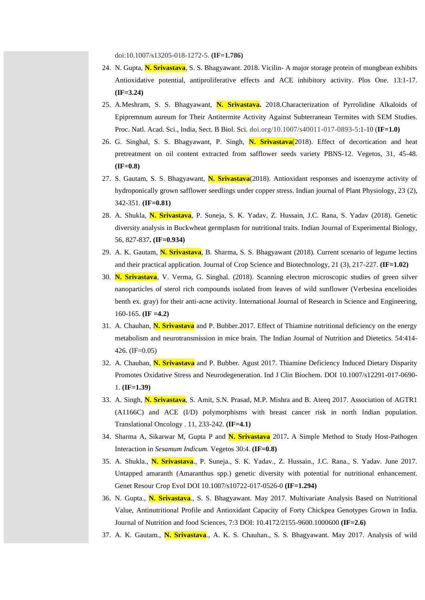doi:10.1007/s13205-018-1272-5. **(IF=1.786)**

- 24. N. Gupta, **N. Srivastava**, S. S. Bhagyawant. 2018. Vicilin- A major storage protein of mungbean exhibits Antioxidative potential, antiproliferative effects and ACE inhibitory activity. Plos One. 13:1-17. **(IF=3.24)**
- 25. A.Meshram, S. S. Bhagyawant, **N. Srivastava.** 2018.Characterization of Pyrrolidine Alkaloids of Epipremnum aureum for Their Antitermite Activity Against Subterranean Termites with SEM Studies. Proc. Natl. Acad. Sci., India, Sect. B Biol. Sci. doi.org/10.1007/s40011-017-0893-5:1-10 (**IF=1.0)**
- 26. G. Singhal, S. S. Bhagyawant, P. Singh, **N. Srivastava**(2018). Effect of decortication and heat pretreatment on oil content extracted from safflower seeds variety PBNS-12. Vegetos, 31, 45-48. **(IF=0.8)**
- 27. S. Gautam, S. S. Bhagyawant, **N. Srivastava**(2018). Antioxidant responses and isoenzyme activity of hydroponically grown safflower seedlings under copper stress. Indian journal of Plant Physiology, 23 (2), 342-351. **(IF=0.81)**
- 28. A. Shukla, **N. Srivastava**, P. Suneja, S. K. Yadav, Z. Hussain, J.C. Rana, S. Yadav (2018). Genetic diversity analysis in Buckwheat germplasm for nutritional traits. Indian Journal of Experimental Biology, 56, 827-837**. (IF=0.934)**
- 29. A. K. Gautam, **N. Srivastava**, B. Sharma, S. S. Bhagyawant (2018). Current scenario of legume lectins and their practical application. Journal of Crop Science and Biotechnology, 21 (3), 217-227. **(IF=1.02)**
- 30. **N. Srivastava**, V. Verma, G. Singhal. (2018). Scanning electron microscopic studies of green silver nanoparticles of sterol rich compounds isolated from leaves of wild sunflower (Verbesina encelioides benth ex. gray) for their anti-acne activity. International Journal of Research in Science and Engineering, 160-165. **(IF =4.2)**
- 31. A. Chauhan, **N. Srivastava** and P. Bubber.2017. Effect of Thiamine nutritional deficiency on the energy metabolism and neurotransmission in mice brain. The Indian Journal of Nutrition and Dietetics. 54:414- 426. (IF=0.05)
- 32. A. Chauhan, **N. Srivastava** and P. Bubber. Agust 2017. Thiamine Deficiency Induced Dietary Disparity Promotes Oxidative Stress and Neurodegeneration. Ind J Clin Biochem. DOI 10.1007/s12291-017-0690- 1. **(IF=1.39)**
- 33. A. Singh, **N. Srivastava**, S. Amit, S.N. Prasad, M.P. Mishra and B. Ateeq 2017. Association of AGTR1 (A1166C) and ACE (I/D) polymorphisms with breast cancer risk in north Indian population. Translational Oncology . 11, 233-242. **(IF=4.1)**
- 34. Sharma A, Sikarwar M, Gupta P and **N. Srivastava** 2017**.** A Simple Method to Study Host-Pathogen Interaction in *Sesamum Indicum.* Vegetos 30:4. **(IF=0.8)**
- 35. A. Shukla., **N. Srivastava**., P. Suneja., S. K. Yadav., Z. Hussain., J.C. Rana., S. Yadav. June 2017. Untapped amaranth (Amaranthus spp.) genetic diversity with potential for nutritional enhancement. Genet Resour Crop Evol DOI 10.1007/s10722-017-0526-0 **(IF=1.294)**
- 36. N. Gupta., **N. Srivastava**., S. S. Bhagyawant. May 2017. Multivariate Analysis Based on Nutritional Value, Antinutritional Profile and Antioxidant Capacity of Forty Chickpea Genotypes Grown in India. Journal of Nutrition and food Sciences, 7:3 DOI: 10.4172/2155-9600.1000600 **(IF=2.6)**
- 37. A. K. Gautam., **N. Srivastava**., A. K. S. Chauhan., S. S. Bhagyawant. May 2017. Analysis of wild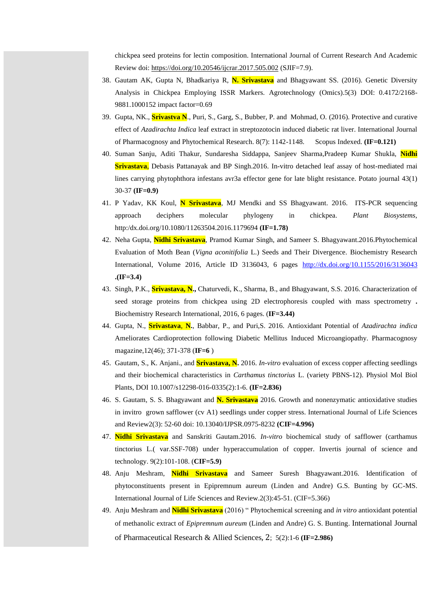chickpea seed proteins for lectin composition. International Journal of Current Research And Academic Review doi:<https://doi.org/10.20546/ijcrar.2017.505.002> (SJIF=7.9).

- 38. Gautam AK, Gupta N, Bhadkariya R, **N. Srivastava** and Bhagyawant SS. (2016). Genetic Diversity Analysis in Chickpea Employing ISSR Markers. Agrotechnology (Omics).5(3) DOI: 0.4172/2168- 9881.1000152 impact factor=0.69
- 39. Gupta, NK., **Srivastva N**., Puri, S., Garg, S., Bubber, P. and Mohmad, O. (2016). Protective and curative effect of *Azadirachta Indica* leaf extract in streptozotocin induced diabetic rat liver. International Journal of Pharmacognosy and Phytochemical Research. 8(7): 1142-1148. Scopus Indexed. **(IF=0.121)**
- 40. Suman Sanju, Aditi Thakur, Sundaresha Siddappa, Sanjeev Sharma,Pradeep Kumar Shukla, **Nidhi Srivastava**, Debasis Pattanayak and BP Singh.2016. In-vitro detached leaf assay of host-mediated rnai lines carrying phytophthora infestans avr3a effector gene for late blight resistance. Potato journal 43(1) 30-37 **(IF=0.9)**
- 41. P Yadav, KK Koul, **N Srivastava**, MJ Mendki and SS Bhagyawant. 2016. ITS-PCR sequencing approach deciphers molecular phylogeny in chickpea. *Plant Biosystems*, http:/dx.doi.org/10.1080/11263504.2016.1179694 **(IF=1.78)**
- 42. Neha Gupta, **Nidhi Srivastava**, Pramod Kumar Singh, and Sameer S. Bhagyawant.2016.Phytochemical Evaluation of Moth Bean (*Vigna aconitifolia* L.) Seeds and Their Divergence. Biochemistry Research International, Volume 2016, Article ID 3136043, 6 pages <http://dx.doi.org/10.1155/2016/3136043> **.(IF=3.4)**
- 43. Singh, P.K., **Srivastava, N.,** Chaturvedi, K., Sharma, B., and Bhagyawant, S.S. 2016. Characterization of seed storage proteins from chickpea using 2D electrophoresis coupled with mass spectrometry **.** Biochemistry Research International, 2016, 6 pages. (**IF=3.44)**
- 44. Gupta, N., **Srivastava**, **N.**, Babbar, P., and Puri,S. 2016. Antioxidant Potential of *Azadirachta indica* Ameliorates Cardioprotection following Diabetic Mellitus Induced Microangiopathy. Pharmacognosy magazine,12(46); 371-378 (**IF=6** )
- 45. Gautam, S., K. Anjani., and **Srivastava, N.** 2016. *In-vitro* evaluation of excess copper affecting seedlings and their biochemical characteristics in *Carthamus tinctorius* L. (variety PBNS-12). Physiol Mol Biol Plants, DOI 10.1007/s12298-016-0335(2):1-6. **(IF=2.836)**
- 46. S. Gautam, S. S. Bhagyawant and **N. Srivastava** 2016. Growth and nonenzymatic antioxidative studies in invitro grown safflower (cv A1) seedlings under copper stress. International Journal of Life Sciences and Review2(3): 52-60 doi: 10.13040/IJPSR.0975-8232 **(CIF=4.996)**
- 47. **Nidhi Srivastava** and Sanskriti Gautam.2016. *In-vitro* biochemical study of safflower (carthamus tinctorius L.( var.SSF-708) under hyperaccumulation of copper. Invertis journal of science and technology. 9(2):101-108. (**CIF=5.9)**
- 48. Anju Meshram, **Nidhi Srivastava** and Sameer Suresh Bhagyawant.2016. Identification of phytoconstituents present in Epipremnum aureum (Linden and Andre) G.S. Bunting by GC-MS. International Journal of Life Sciences and Review.2(3):45-51. (CIF=5.366)
- 49. Anju Meshram and **Nidhi Srivastava** (2016) " Phytochemical screening and *in vitro* antioxidant potential of methanolic extract of *Epipremnum aureum* (Linden and Andre) G. S. Bunting. International Journal of Pharmaceutical Research & Allied Sciences, 2; 5(2):1-6 **(IF=2.986)**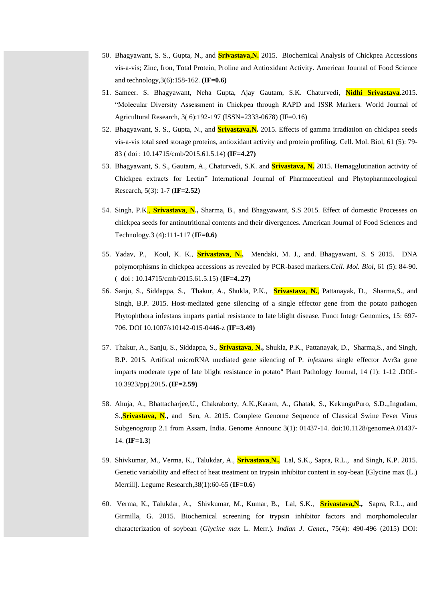- 50. Bhagyawant, S. S., Gupta, N., and **Srivastava,N.** 2015. Biochemical Analysis of Chickpea Accessions vis-a-vis; Zinc, Iron, Total Protein, Proline and Antioxidant Activity. American Journal of Food Science and technology,3(6):158-162. **(IF=0.6)**
- 51. Sameer. S. Bhagyawant, Neha Gupta, Ajay Gautam, S.K. Chaturvedi, **Nidhi Srivastava**.2015. "Molecular Diversity Assessment in Chickpea through RAPD and ISSR Markers. World Journal of Agricultural Research, 3( 6):192-197 (ISSN=2333-0678) (IF=0.16)
- 52. Bhagyawant, S. S., Gupta, N., and **Srivastava,N.** 2015. Effects of gamma irradiation on chickpea seeds vis-a-vis total seed storage proteins, antioxidant activity and protein profiling. Cell. Mol. Biol*,* 61 (5): 79- 83 ( doi : 10.14715/cmb/2015.61.5.14) **(IF=4.27)**
- 53. Bhagyawant, S. S., Gautam, A., Chaturvedi, S.K. and **Srivastava, N.** 2015. Hemagglutination activity of Chickpea extracts for Lectin" International Journal of Pharmaceutical and Phytopharmacological Research, 5(3): 1-7 (**IF=2.52)**
- 54. Singh, P.K., **Srivastava**, **N.,** Sharma, B., and Bhagyawant, S.S 2015. Effect of domestic Processes on chickpea seeds for antinutritional contents and their divergences. American Journal of Food Sciences and Technology,3 (4):111-117 (**IF=0.6)**
- 55. Yadav, P., Koul, K. K., **Srivastava**, **N.,** Mendaki, M. J., and. Bhagyawant, S. S 2015. DNA polymorphisms in chickpea accessions as revealed by PCR-based markers.*Cell. Mol. Biol,* 61 (5): 84-90. ( doi : 10.14715/cmb/2015.61.5.15) (**IF=4..27)**
- 56. Sanju, S., Siddappa, S., Thakur, A., Shukla, P.K., **Srivastava**, **N.**, Pattanayak, D., Sharma,S., and Singh, B.P. 2015. Host-mediated gene silencing of a single effector gene from the potato pathogen Phytophthora infestans imparts partial resistance to late blight disease. Funct Integr Genomics, 15: 697- 706. DOI 10.1007/s10142-015-0446-z (**IF=3.49)**
- 57. Thakur, A., Sanju, S., Siddappa, S., **Srivastava**, **N.,** Shukla, P.K., Pattanayak, D., Sharma,S., and Singh, B.P. 2015. Artifical microRNA mediated gene silencing of P. *infestans* single effector Avr3a gene imparts moderate type of late blight resistance in potato" Plant Pathology Journal, 14 (1): 1-12 .DOI:- 10.3923/ppj.2015**. (IF=2.59)**
- 58. Ahuja, A., Bhattacharjee,U., Chakraborty, A.K.,Karam, A., Ghatak, S., KekunguPuro, S.D.,,Ingudam, S.,**Srivastava, N.,** and Sen, A. 2015. Complete Genome Sequence of Classical Swine Fever Virus Subgenogroup 2.1 from Assam, India. Genome Announc 3(1): 01437-14. doi:10.1128/genomeA.01437- 14. **(IF=1.3**)
- 59. Shivkumar, M., Verma, K., Talukdar, A., **Srivastava**,**N.,** Lal, S.K., Sapra, R.L., and Singh, K.P. 2015. Genetic variability and effect of heat treatment on trypsin inhibitor content in soy-bean [Glycine max (L.) Merrill]. Legume Research,38(1):60-65 (**IF=0.6**)
- 60. Verma, K., Talukdar, A., Shivkumar, M., Kumar, B., Lal, S.K., **Srivastava,N.,** Sapra, R.L., and Girmilla, G. 2015. Biochemical screening for trypsin inhibitor factors and morphomolecular characterization of soybean (*Glycine max* L. Merr.). *Indian J. Genet*., 75(4): 490-496 (2015) DOI: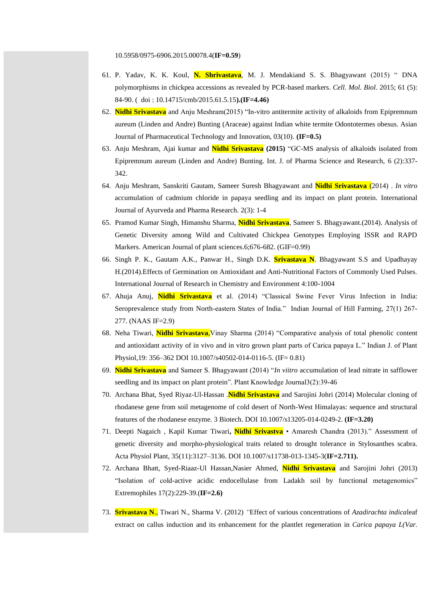- 61. P. Yadav, K. K. Koul, **N. Shrivastava**, M. J. Mendakiand S. S. Bhagyawant (2015) " DNA polymorphisms in chickpea accessions as revealed by PCR-based markers. *Cell. Mol. Biol.* 2015; 61 (5): 84-90. ( doi : 10.14715/cmb/2015.61.5.15**).(IF=4.46)**
- 62. **Nidhi Srivastava** and Anju Meshram(2015) "In-vitro antitermite activity of alkaloids from Epipremnum aureum (Linden and Andre) Bunting (Araceae) against Indian white termite Odontotermes obesus. Asian Journal of Pharmaceutical Technology and Innovation, 03(10). **(IF=0.5)**
- 63. Anju Meshram, Ajai kumar and **Nidhi Srivastava (2015)** "GC-MS analysis of alkaloids isolated from Epipremnum aureum (Linden and Andre) Bunting. Int. J. of Pharma Science and Research, 6 (2):337- 342.
- 64. Anju Meshram, Sanskriti Gautam, Sameer Suresh Bhagyawant and **Nidhi Srivastava** (2014) . *In vitro*  accumulation of cadmium chloride in papaya seedling and its impact on plant protein. International Journal of Ayurveda and Pharma Research. 2(3): 1-4
- 65. Pramod Kumar Singh, Himanshu Sharma, **Nidhi Srivastava**, Sameer S. Bhagyawant.(2014). Analysis of Genetic Diversity among Wild and Cultivated Chickpea Genotypes Employing ISSR and RAPD Markers. American Journal of plant sciences.6;676-682. (GIF=0.99)
- 66. Singh P. K., Gautam A.K., Panwar H., Singh D.K. **Srivastava N**. Bhagyawant S.S and Upadhayay H.(2014).Effects of Germination on Antioxidant and Anti-Nutritional Factors of Commonly Used Pulses. International Journal of Research in Chemistry and Environment 4:100-1004
- 67. Ahuja Anuj, **Nidhi Srivastava** et al. (2014) "Classical Swine Fever Virus Infection in India: Seroprevalence study from North-eastern States of India." Indian Journal of Hill Farming, 27(1) 267- 277. (NAAS IF=2.9)
- 68. Neha Tiwari, **Nidhi Srivastava**,Vinay Sharma (2014) "Comparative analysis of total phenolic content and antioxidant activity of in vivo and in vitro grown plant parts of Carica papaya L." Indian J. of Plant Physiol,19: 356–362 DOI 10.1007/s40502-014-0116-5. (IF= 0.81)
- 69. **Nidhi Srivastava** and Sameer S. Bhagyawant (2014) "*In viitro* accumulation of lead nitrate in safflower seedling and its impact on plant protein". Plant Knowledge Journal3(2):39-46
- 70. Archana Bhat, Syed Riyaz-Ul-Hassan .**Nidhi Srivastava** and Sarojini Johri (2014) Molecular cloning of rhodanese gene from soil metagenome of cold desert of North-West Himalayas: sequence and structural features of the rhodanese enzyme. 3 Biotech. DOI 10.1007/s13205-014-0249-2. **(IF=3.20)**
- 71. Deepti Nagaich , Kapil Kumar Tiwari**, Nidhi Srivastva** Amaresh Chandra (2013)." Assessment of genetic diversity and morpho-physiological traits related to drought tolerance in Stylosanthes scabra. Acta Physiol Plant, 35(11):3127–3136. DOI 10.1007/s11738-013-1345-3(**IF=2.711).**
- 72. Archana Bhatt, Syed-Riaaz-Ul Hassan,Nasier Ahmed, **Nidhi Srivastava** and Sarojini Johri (2013) "Isolation of cold-active acidic endocellulase from Ladakh soil by functional metagenomics" Extremophiles 17(2):229-39.(**IF=2.6)**
- 73. **Srivastava N**., Tiwari N., Sharma V. (2012) *"*Effect of various concentrations of *Azadirachta indica*leaf extract on callus induction and its enhancement for the plantlet regeneration in *Carica papaya L(Var.*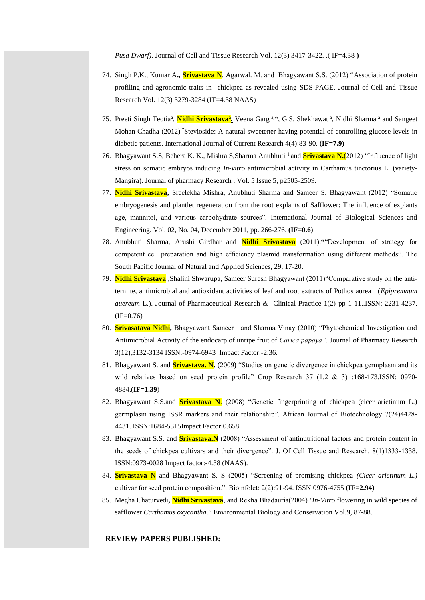*Pusa Dwarf).* Journal of Cell and Tissue Research Vol. 12(3) 3417-3422. .( IF=4.38 **)**

- 74. Singh P.K., Kumar A**., Srivastava N**. Agarwal. M. and Bhagyawant S.S. (2012) "Association of protein profiling and agronomic traits in chickpea as revealed using SDS-PAGE. Journal of Cell and Tissue Research Vol. 12(3) 3279-3284 (IF=4.38 NAAS)
- 75. Preeti Singh Teotia<sup>a</sup>, <mark>Nidhi Srivastava<sup>a</sup>,</mark> Veena Garg<sup>a,\*</sup>, G.S. Shekhawat<sup>a</sup>, Nidhi Sharma<sup>a</sup> and Sangeet Mohan Chadha (2012) "Stevioside: A natural sweetener having potential of controlling glucose levels in diabetic patients. International Journal of Current Research 4(4):83-90. **(IF=7.9)**
- 76. Bhagyawant S.S, Behera K. K., Mishra S,Sharma Anubhuti <sup>1</sup>and **Srivastava N.**(2012) "Influence of light stress on somatic embryos inducing *In-vitro* antimicrobial activity in Carthamus tinctorius L. (variety-Mangira). Journal of pharmacy Research . Vol. 5 Issue 5, p2505-2509.
- 77. **Nidhi Srivastava,** Sreelekha Mishra, Anubhuti Sharma and Sameer S. Bhagyawant (2012) "Somatic embryogenesis and plantlet regeneration from the root explants of Safflower: The influence of explants age, mannitol, and various carbohydrate sources". International Journal of Biological Sciences and Engineering. Vol. 02, No. 04, December 2011, pp. 266-276. **(IF=0.6)**
- 78. Anubhuti Sharma, Arushi Girdhar and **Nidhi Srivastava** (2011).**"**"Development of strategy for competent cell preparation and high efficiency plasmid transformation using different methods". The South Pacific Journal of Natural and Applied Sciences, 29, 17-20.
- 79. **Nidhi Srivastava** ,Shalini Shwarupa, Sameer Suresh Bhagyawant (2011)"Comparative study on the antitermite, antimicrobial and antioxidant activities of leaf and root extracts of Pothos aurea (*Epipremnum auereum* L.). Journal of Pharmaceutical Research & Clinical Practice 1(2) pp 1-11..ISSN:-2231-4237.  $(IF=0.76)$
- 80. **Srivasatava Nidhi,** Bhagyawant Sameer and Sharma Vinay (2010) "Phytochemical Investigation and Antimicrobial Activity of the endocarp of unripe fruit of *Carica papaya".* Journal of Pharmacy Research 3(12),3132-3134 ISSN:-0974-6943 Impact Factor:-2.36.
- 81. Bhagyawant S. and **Srivastava. N.** (2009**)** "Studies on genetic divergence in chickpea germplasm and its wild relatives based on seed protein profile" Crop Research 37 (1,2 & 3) :168-173.ISSN: 0970-4884.(**IF=1.39**)
- 82. Bhagyawant S.S.and **Srivastava N**. (2008) "Genetic fingerprinting of chickpea (cicer arietinum L.) germplasm using ISSR markers and their relationship". African Journal of Biotechnology 7(24)4428- 4431. ISSN:1684-5315Impact Factor:0.658
- 83. Bhagyawant S.S. and **Srivastava.N** (2008) "Assessment of antinutritional factors and protein content in the seeds of chickpea cultivars and their divergence". J. Of Cell Tissue and Research, 8(1)1333-1338. ISSN:0973-0028 Impact factor:-4.38 (NAAS).
- 84. **Srivastava N** and Bhagyawant S. S (2005) "Screening of promising chickpea *(Cicer arietinum L.)* cultivar for seed protein composition.". Bioinfolet: 2(2):91-94. ISSN:0976-4755 (**IF=2.94)**
- 85. Megha Chaturvedi**, Nidhi Srivastava**, and Rekha Bhadauria(2004) '*In-Vitro* flowering in wild species of safflower *Carthamus oxycantha*." Environmental Biology and Conservation Vol.9, 87-88.

### **REVIEW PAPERS PUBLISHED:**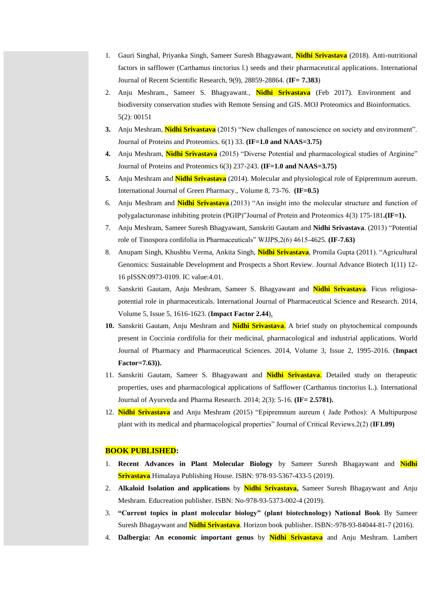- 1. Gauri Singhal, Priyanka Singh, Sameer Suresh Bhagyawant, **Nidhi Srivastava** (2018). Anti-nutritional factors in safflower (Carthamus tinctorius l.) seeds and their pharmaceutical applications. International Journal of Recent Scientific Research, 9(9), 28859-28864. (**IF= 7.383**)
- 2. Anju Meshram., Sameer S. Bhagyawant., **Nidhi Srivastava** (Feb 2017). Environment and biodiversity conservation studies with Remote Sensing and GIS. MOJ Proteomics and Bioinformatics. 5(2): 00151
- **3.** Anju Meshram, **Nidhi Srivastava** (2015) "New challenges of nanoscience on society and environment". Journal of Proteins and Proteomics. 6(1) 33. **(IF=1.0 and NAAS=3.75)**
- **4.** Anju Meshram, **Nidhi Srivastava** (2015) "Diverse Potential and pharmacological studies of Arginine" Journal of Proteins and Proteomics 6(3) 237-243. **(IF=1.0 and NAAS=3.75)**
- **5.** Anju Meshram and **Nidhi Srivastava** (2014). Molecular and physiological role of Epipremnum aureum. International Journal of Green Pharmacy., Volume 8, 73-76. **(IF=0.5)**
- 6. Anju Meshram and **Nidhi Srivastava**.(2013) "An insight into the molecular structure and function of polygalacturonase inhibiting protein (PGIP)"Journal of Protein and Proteomics 4(3) 175-181**.(IF=1).**
- 7. Anju Meshram, Sameer Suresh Bhagyawant, Sanskriti Gautam and **Nidhi Srivastava**. (2013) "Potential role of Tinospora cordifolia in Pharmaceuticals" WJJPS,2(6) 4615-4625. **(IF-7.63)**
- 8. Anupam Singh, Khushbu Verma, Ankita Singh, **Nidhi Srivastava**, Promila Gupta (2011). "Agricultural Genomics: Sustainable Development and Prospects a Short Review. Journal Advance Biotech 1(11) 12- 16 pISSN:0973-0109. IC value:4.01.
- 9. Sanskriti Gautam, Anju Meshram, Sameer S. Bhagyawant and **Nidhi Srivastava**. Ficus religiosapotential role in pharmaceuticals. International Journal of Pharmaceutical Science and Research. 2014, Volume 5, Issue 5, 1616-1623. (**Impact Factor 2.44**).
- **10.** Sanskriti Gautam, Anju Meshram and **Nidhi Srivastava**. A brief study on phytochemical compounds present in Coccinia cordifolia for their medicinal, pharmacological and industrial applications. World Journal of Pharmacy and Pharmaceutical Sciences. 2014, Volume 3, Issue 2, 1995-2016. (**Impact Factor=7.63)).**
- 11. Sanskriti Gautam, Sameer S. Bhagyawant and **Nidhi Srivastava**. Detailed study on therapeutic properties, uses and pharmacological applications of Safflower (Carthamus tinctorius L.). International Journal of Ayurveda and Pharma Research. 2014; 2(3): 5-16. **(IF= 2.5781).**
- 12. **Nidhi Srivastava** and Anju Meshram (2015) "Epipremnum aureum ( Jade Pothos): A Multipurpose plant with its medical and pharmacological properties" Journal of Critical Reviews.2(2) (**IF1.09)**

#### **BOOK PUBLISHED:**

- **Recent Advances in Plant Molecular Biology** by Sameer Suresh Bhagaywant and **Nidhi Srivastava**.Himalaya Publishing House. ISBN: 978-93-5367-433-5 (2019).
- 2. **Alkaloid Isolation and applications** by **Nidhi Srivastava,** Sameer Suresh Bhagaywant and Anju Meshram. Educreation publisher. ISBN: No-978-93-5373-002-4 (2019).
- 3. **"Current topics in plant molecular biology" (plant biotechnology) National Book** By Sameer Suresh Bhagaywant and **Nidhi Srivastava**. Horizon book publisher. ISBN:-978-93-84044-81-7 (2016).
- 4. **Dalbergia: An economic important genus** by **Nidhi Srivastava** and Anju Meshram. Lambert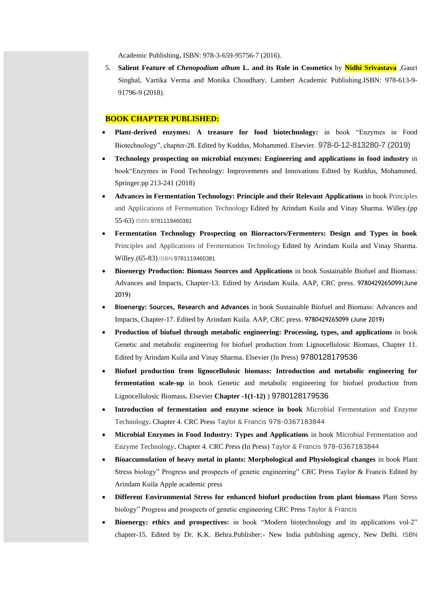Academic Publishing**.** ISBN: 978-3-659-95756-7 (2016).

5. **Salient Feature of** *Chenopodium album* **L. and its Role in Cosmetics** by **Nidhi Srivastava** ,Gauri Singhal, Vartika Verma and Monika Choudhary. Lambert Academic Publishing.ISBN: 978-613-9- 91796-9 (2018).

#### **BOOK CHAPTER PUBLISHED:**

- **Plant-derived enzymes: A treasure for food biotechnology:** in book "Enzymes in Food Biotechnology", chapter-28. Edited by Kuddus, Mohammed. Elsevier. 978-0-12-813280-7 (2019)
- **Technology prospecting on microbial enzymes: Engineering and applications in food industry** in book"Enzymes in Food Technology: Improvements and Innovations Edited by Kuddus, Mohammed. Springer.pp 213-241 (2018)
- **Advances in Fermentation Technology: Principle and their Relevant Applications** in book Principles and Applications of Fermentation Technology Edited by Arindam Kuila and Vinay Sharma. Willey.(pp 55-63) ISBN:9781119460381
- **Fermentation Technology Prospecting on Bioreactors/Fermenters: Design and Types in book**  Principles and Applications of Fermentation Technology Edited by Arindam Kuila and Vinay Sharma. Willey.(65-83) ISBN:9781119460381
- **Bioenergy Production: Biomass Sources and Applications** in book Sustainable Biofuel and Biomass: Advances and Impacts, Chapter-13. Edited by Arindam Kuila. AAP, CRC press. 9780429265099(June 2019)
- **Bioenergy: Sources, Research and Advances** in book Sustainable Biofuel and Biomass: Advances and Impacts, Chapter-17. Edited by Arindam Kuila. AAP, CRC press. 9780429265099 (June 2019)
- **Production of biofuel through metabolic engineering: Processing, types, and applications** in book Genetic and metabolic engineering for biofuel production from Lignocellulosic Biomass, Chapter 11. Edited by Arindam Kuila and Vinay Sharma. Elsevier (In Press) 9780128179536
- **Biofuel production from lignocellulosic biomass: Introduction and metabolic engineering for fermentation scale-up** in book Genetic and metabolic engineering for biofuel production from Lignocellulosic Biomass**.** Elsevier **Chapter -1(1-12)** ) 9780128179536
- **Introduction of fermentation and enzyme science in book** Microbial Fermentation and Enzyme Technology**.** Chapter 4. CRC Press Taylor & Francis 978-0367183844
- **Microbial Enzymes in Food Industry: Types and Applications** in book Microbial Fermentation and Enzyme Technology**.** Chapter 4. CRC Press (In Press) Taylor & Francis 978-0367183844
- **Bioaccumulation of heavy metal in plants: Morphological and Physiological changes** in book Plant Stress biology" Progress and prospects of genetic engineering" CRC Press Taylor & Francis Edited by Arindam Kuila Apple academic press
- **Different Environmental Stress for enhanced biofuel production from plant biomass** Plant Stress biology" Progress and prospects of genetic engineering CRC Press Taylor & Francis
- **Bioenergy: ethics and prospectives:** in book "Modern biotechnology and its applications vol-2" chapter-15. Edited by Dr. K.K. Behra.Publisher:- New India publishing agency, New Delhi. ISBN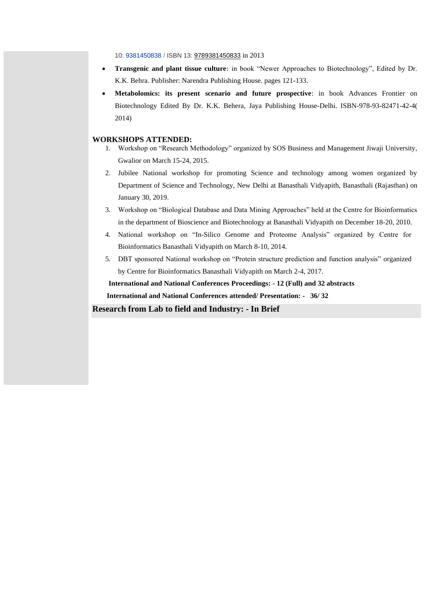10: [9381450838](https://www.abebooks.com/products/isbn/9789381450833?cm_sp=bdp-_-ISBN10-_-PLP) / ISBN 13: [9789381450833](https://www.abebooks.com/products/isbn/9789381450833?cm_sp=bdp-_-ISBN13-_-PLP) in 2013

- **Transgenic and plant tissue culture:** in book "Newer Approaches to Biotechnology", Edited by Dr. K.K. Behra. Publisher: Narendra Publishing House. pages 121-133.
- **Metabolomics: its present scenario and future prospective**: in book Advances Frontier on Biotechnology Edited By Dr. K.K. Behera, Jaya Publishing House-Delhi. ISBN-978-93-82471-42-4( 2014)

## **WORKSHOPS ATTENDED:**

- 1. Workshop on "Research Methodology" organized by SOS Business and Management Jiwaji University, Gwalior on March 15-24, 2015.
- 2. Jubilee National workshop for promoting Science and technology among women organized by Department of Science and Technology, New Delhi at Banasthali Vidyapith, Banasthali (Rajasthan) on January 30, 2019.
- 3. Workshop on "Biological Database and Data Mining Approaches" held at the Centre for Bioinformatics in the department of Bioscience and Biotechnology at Banasthali Vidyapith on December 18-20, 2010.
- 4. National workshop on "In-Silico Genome and Proteome Analysis" organized by Centre for Bioinformatics Banasthali Vidyapith on March 8-10, 2014.
- 5. DBT sponsored National workshop on "Protein structure prediction and function analysis" organized by Centre for Bioinformatics Banasthali Vidyapith on March 2-4, 2017.

 **International and National Conferences Proceedings: - 12 (Full) and 32 abstracts**

 **International and National Conferences attended/ Presentation: - 36/ 32**

**Research from Lab to field and Industry: - In Brief**